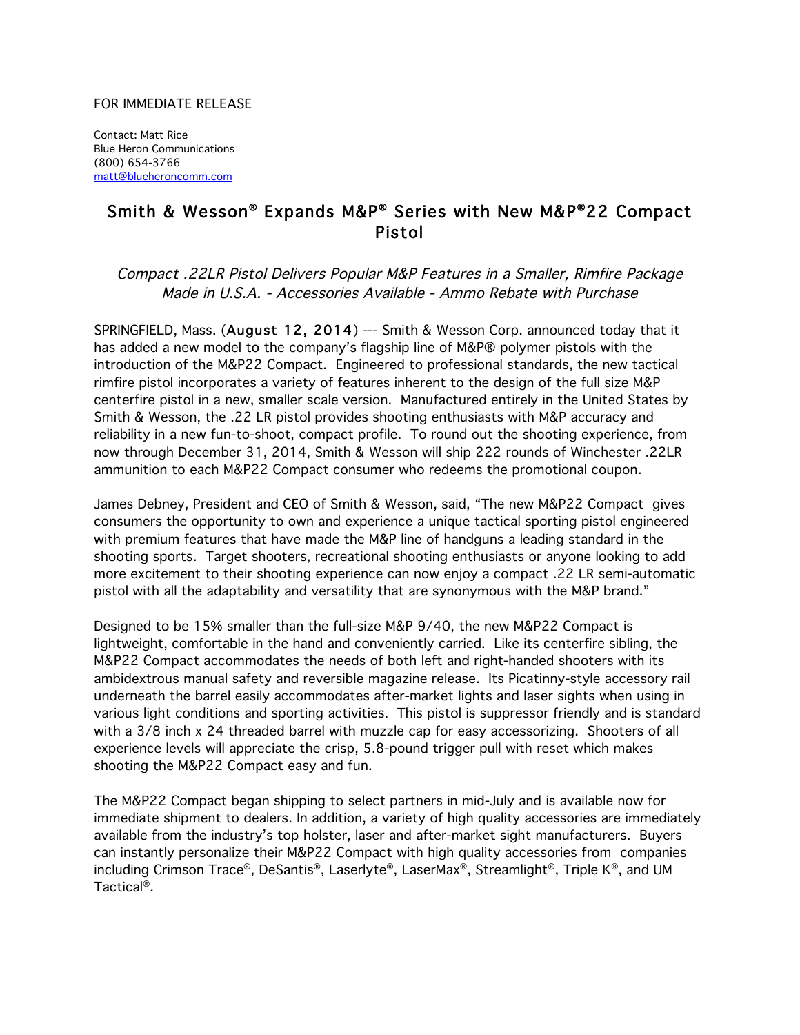## FOR IMMEDIATE RELEASE

Contact: Matt Rice Blue Heron Communications (800) 654-3766 matt@blueheroncomm.com

## Smith & Wesson® Expands M&P® Series with New M&P®22 Compact Pistol

Compact .22LR Pistol Delivers Popular M&P Features in a Smaller, Rimfire Package Made in U.S.A. - Accessories Available - Ammo Rebate with Purchase

SPRINGFIELD, Mass. (August 12, 2014) --- Smith & Wesson Corp. announced today that it has added a new model to the company's flagship line of M&P® polymer pistols with the introduction of the M&P22 Compact. Engineered to professional standards, the new tactical rimfire pistol incorporates a variety of features inherent to the design of the full size M&P centerfire pistol in a new, smaller scale version. Manufactured entirely in the United States by Smith & Wesson, the .22 LR pistol provides shooting enthusiasts with M&P accuracy and reliability in a new fun-to-shoot, compact profile. To round out the shooting experience, from now through December 31, 2014, Smith & Wesson will ship 222 rounds of Winchester .22LR ammunition to each M&P22 Compact consumer who redeems the promotional coupon.

James Debney, President and CEO of Smith & Wesson, said, "The new M&P22 Compact gives consumers the opportunity to own and experience a unique tactical sporting pistol engineered with premium features that have made the M&P line of handguns a leading standard in the shooting sports. Target shooters, recreational shooting enthusiasts or anyone looking to add more excitement to their shooting experience can now enjoy a compact .22 LR semi-automatic pistol with all the adaptability and versatility that are synonymous with the M&P brand."

Designed to be 15% smaller than the full-size M&P 9/40, the new M&P22 Compact is lightweight, comfortable in the hand and conveniently carried. Like its centerfire sibling, the M&P22 Compact accommodates the needs of both left and right-handed shooters with its ambidextrous manual safety and reversible magazine release. Its Picatinny-style accessory rail underneath the barrel easily accommodates after-market lights and laser sights when using in various light conditions and sporting activities. This pistol is suppressor friendly and is standard with a 3/8 inch x 24 threaded barrel with muzzle cap for easy accessorizing. Shooters of all experience levels will appreciate the crisp, 5.8-pound trigger pull with reset which makes shooting the M&P22 Compact easy and fun.

The M&P22 Compact began shipping to select partners in mid-July and is available now for immediate shipment to dealers. In addition, a variety of high quality accessories are immediately available from the industry's top holster, laser and after-market sight manufacturers. Buyers can instantly personalize their M&P22 Compact with high quality accessories from companies including Crimson Trace®, DeSantis®, Laserlyte®, LaserMax®, Streamlight®, Triple K®, and UM Tactical®.